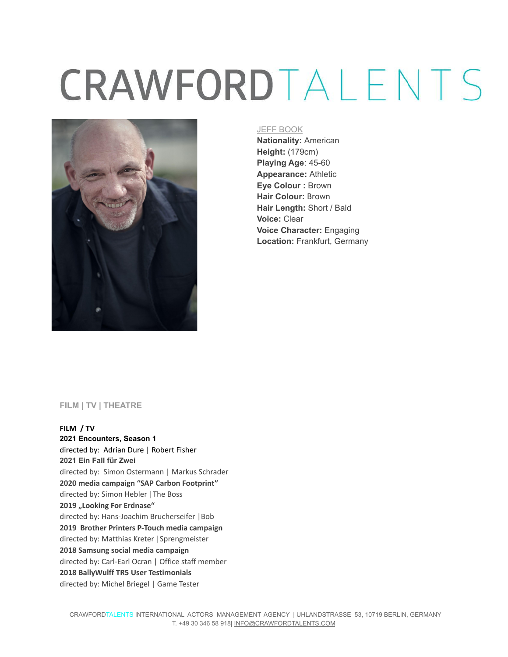# CRAWFORDTALENTS



#### JEFF BOOK

**Nationality:** American **Height:** (179cm) **Playing Age**: 45-60 **Appearance:** Athletic **Eye Colour :** Brown **Hair Colour:** Brown **Hair Length:** Short / Bald **Voice:** Clear **Voice Character:** Engaging **Location:** Frankfurt, Germany

#### **FILM | TV | THEATRE**

#### **FILM / TV 2021 Encounters, Season 1** directed by: Adrian Dure | Robert Fisher **2021 Ein Fall für Zwei** directed by: Simon Ostermann | Markus Schrader **2020 media campaign "SAP Carbon Footprint"** directed by: Simon Hebler |The Boss **2019 "Looking For Erdnase"** directed by: Hans-Joachim Brucherseifer |Bob **2019 Brother Printers P-Touch media campaign** directed by: Matthias Kreter |Sprengmeister **2018 Samsung social media campaign** directed by: Carl-Earl Ocran | Office staff member **2018 BallyWulff TR5 User Testimonials** directed by: Michel Briegel | Game Tester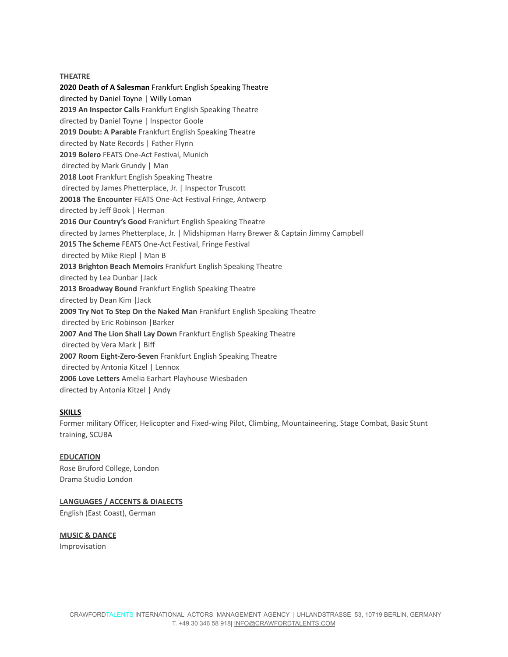#### **THEATRE**

**2020 Death of A Salesman** Frankfurt English Speaking Theatre directed by Daniel Toyne | Willy Loman **2019 An Inspector Calls** Frankfurt English Speaking Theatre directed by Daniel Toyne | Inspector Goole **2019 Doubt: A Parable** Frankfurt English Speaking Theatre directed by Nate Records | Father Flynn **2019 Bolero** FEATS One-Act Festival, Munich directed by Mark Grundy | Man **2018 Loot** Frankfurt English Speaking Theatre directed by James Phetterplace, Jr. | Inspector Truscott **20018 The Encounter** FEATS One-Act Festival Fringe, Antwerp directed by Jeff Book | Herman **2016 Our Country's Good** Frankfurt English Speaking Theatre directed by James Phetterplace, Jr. | Midshipman Harry Brewer & Captain Jimmy Campbell **2015 The Scheme** FEATS One-Act Festival, Fringe Festival directed by Mike Riepl | Man B **2013 Brighton Beach Memoirs** Frankfurt English Speaking Theatre directed by Lea Dunbar |Jack **2013 Broadway Bound** Frankfurt English Speaking Theatre directed by Dean Kim |Jack **2009 Try Not To Step On the Naked Man** Frankfurt English Speaking Theatre directed by Eric Robinson |Barker **2007 And The Lion Shall Lay Down** Frankfurt English Speaking Theatre directed by Vera Mark | Biff **2007 Room Eight-Zero-Seven** Frankfurt English Speaking Theatre directed by Antonia Kitzel | Lennox **2006 Love Letters** Amelia Earhart Playhouse Wiesbaden directed by Antonia Kitzel | Andy

#### **SKILLS**

Former military Officer, Helicopter and Fixed-wing Pilot, Climbing, Mountaineering, Stage Combat, Basic Stunt training, SCUBA

#### **EDUCATION**

Rose Bruford College, London Drama Studio London

#### **LANGUAGES / ACCENTS & DIALECTS**

English (East Coast), German

### **MUSIC & DANCE**

Improvisation